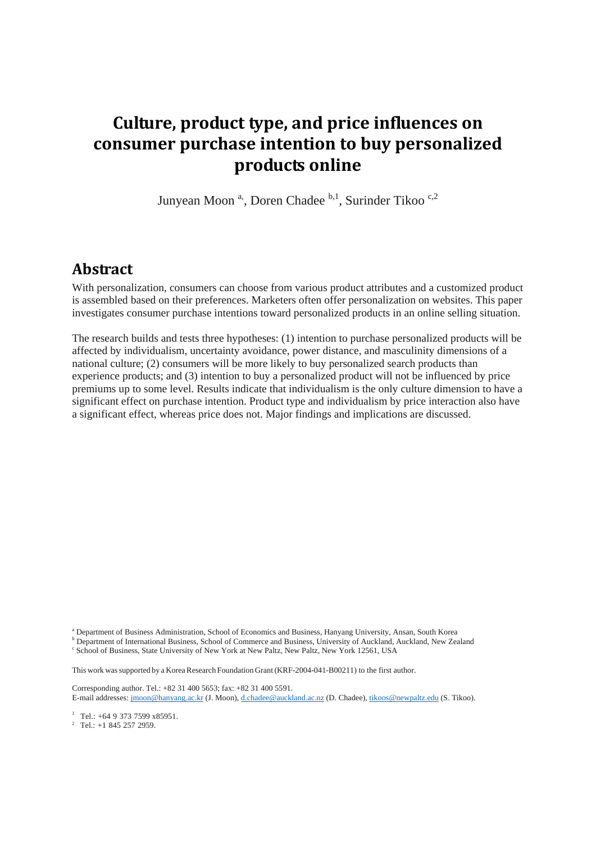# **Culture, product type, and price influences on consumer purchase intention to buy personalized products online**

Junyean Moon<sup>a</sup>, Doren Chadee <sup>b,1</sup>, Surinder Tikoo<sup>c,2</sup>

#### **Abstract**

With personalization, consumers can choose from various product attributes and a customized product is assembled based on their preferences. Marketers often offer personalization on websites. This paper investigates consumer purchase intentions toward personalized products in an online selling situation.

The research builds and tests three hypotheses: (1) intention to purchase personalized products will be affected by individualism, uncertainty avoidance, power distance, and masculinity dimensions of a national culture; (2) consumers will be more likely to buy personalized search products than experience products; and (3) intention to buy a personalized product will not be influenced by price premiums up to some level. Results indicate that individualism is the only culture dimension to have a significant effect on purchase intention. Product type and individualism by price interaction also have a significant effect, whereas price does not. Major findings and implications are discussed.

This work was supported by a Korea Research Foundation Grant (KRF-2004-041-B00211) to the first author.

Corresponding author. Tel.: +82 31 400 5653; fax: +82 31 400 5591. E-mail addresses[: jmoon@hanyang.ac.kr](mailto:jmoon@hanyang.ac.kr) (J. Moon), [d.chadee@auckland.ac.nz](mailto:d.chadee@auckland.ac.nz) (D. Chadee)[, tikoos@newpaltz.edu](mailto:tikoos@newpaltz.edu) (S. Tikoo).

<sup>1</sup> Tel.: +64 9 373 7599 x85951.

<sup>2</sup> Tel.:  $+1$  845 257 2959.

<sup>a</sup> Department of Business Administration, School of Economics and Business, Hanyang University, Ansan, South Korea

<sup>b</sup> Department of International Business, School of Commerce and Business, University of Auckland, Auckland, New Zealand <sup>c</sup> School of Business, State University of New York at New Paltz, New Paltz, New York 12561, USA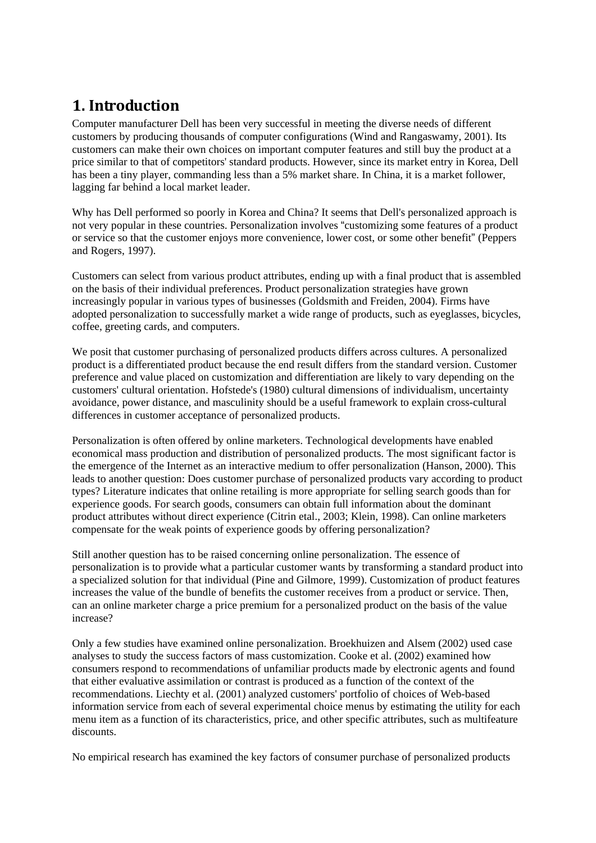# **1. Introduction**

Computer manufacturer Dell has been very successful in meeting the diverse needs of different customers by producing thousands of computer configurations (Wind and Rangaswamy, 2001). Its customers can make their own choices on important computer features and still buy the product at a price similar to that of competitors' standard products. However, since its market entry in Korea, Dell has been a tiny player, commanding less than a 5% market share. In China, it is a market follower, lagging far behind a local market leader.

Why has Dell performed so poorly in Korea and China? It seems that Dell's personalized approach is not very popular in these countries. Personalization involves "customizing some features of a product or service so that the customer enjoys more convenience, lower cost, or some other benefit" (Peppers and Rogers, 1997).

Customers can select from various product attributes, ending up with a final product that is assembled on the basis of their individual preferences. Product personalization strategies have grown increasingly popular in various types of businesses (Goldsmith and Freiden, 2004). Firms have adopted personalization to successfully market a wide range of products, such as eyeglasses, bicycles, coffee, greeting cards, and computers.

We posit that customer purchasing of personalized products differs across cultures. A personalized product is a differentiated product because the end result differs from the standard version. Customer preference and value placed on customization and differentiation are likely to vary depending on the customers' cultural orientation. Hofstede's (1980) cultural dimensions of individualism, uncertainty avoidance, power distance, and masculinity should be a useful framework to explain cross-cultural differences in customer acceptance of personalized products.

Personalization is often offered by online marketers. Technological developments have enabled economical mass production and distribution of personalized products. The most significant factor is the emergence of the Internet as an interactive medium to offer personalization (Hanson, 2000). This leads to another question: Does customer purchase of personalized products vary according to product types? Literature indicates that online retailing is more appropriate for selling search goods than for experience goods. For search goods, consumers can obtain full information about the dominant product attributes without direct experience (Citrin etal., 2003; Klein, 1998). Can online marketers compensate for the weak points of experience goods by offering personalization?

Still another question has to be raised concerning online personalization. The essence of personalization is to provide what a particular customer wants by transforming a standard product into a specialized solution for that individual (Pine and Gilmore, 1999). Customization of product features increases the value of the bundle of benefits the customer receives from a product or service. Then, can an online marketer charge a price premium for a personalized product on the basis of the value increase?

Only a few studies have examined online personalization. Broekhuizen and Alsem (2002) used case analyses to study the success factors of mass customization. Cooke et al. (2002) examined how consumers respond to recommendations of unfamiliar products made by electronic agents and found that either evaluative assimilation or contrast is produced as a function of the context of the recommendations. Liechty et al. (2001) analyzed customers' portfolio of choices of Web-based information service from each of several experimental choice menus by estimating the utility for each menu item as a function of its characteristics, price, and other specific attributes, such as multifeature discounts.

No empirical research has examined the key factors of consumer purchase of personalized products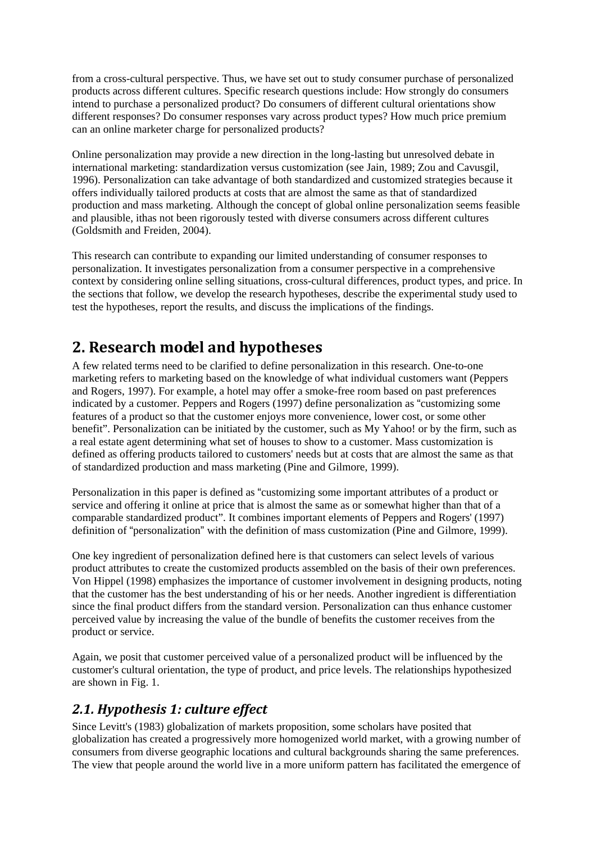from a cross-cultural perspective. Thus, we have set out to study consumer purchase of personalized products across different cultures. Specific research questions include: How strongly do consumers intend to purchase a personalized product? Do consumers of different cultural orientations show different responses? Do consumer responses vary across product types? How much price premium can an online marketer charge for personalized products?

Online personalization may provide a new direction in the long-lasting but unresolved debate in international marketing: standardization versus customization (see Jain, 1989; Zou and Cavusgil, 1996). Personalization can take advantage of both standardized and customized strategies because it offers individually tailored products at costs that are almost the same as that of standardized production and mass marketing. Although the concept of global online personalization seems feasible and plausible, ithas not been rigorously tested with diverse consumers across different cultures (Goldsmith and Freiden, 2004).

This research can contribute to expanding our limited understanding of consumer responses to personalization. It investigates personalization from a consumer perspective in a comprehensive context by considering online selling situations, cross-cultural differences, product types, and price. In the sections that follow, we develop the research hypotheses, describe the experimental study used to test the hypotheses, report the results, and discuss the implications of the findings.

# **2. Research model and hypotheses**

A few related terms need to be clarified to define personalization in this research. One-to-one marketing refers to marketing based on the knowledge of what individual customers want (Peppers and Rogers, 1997). For example, a hotel may offer a smoke-free room based on past preferences indicated by a customer. Peppers and Rogers (1997) define personalization as "customizing some features of a product so that the customer enjoys more convenience, lower cost, or some other benefit". Personalization can be initiated by the customer, such as My Yahoo! or by the firm, such as a real estate agent determining what set of houses to show to a customer. Mass customization is defined as offering products tailored to customers' needs but at costs that are almost the same as that of standardized production and mass marketing (Pine and Gilmore, 1999).

Personalization in this paper is defined as "customizing some important attributes of a product or service and offering it online at price that is almost the same as or somewhat higher than that of a comparable standardized product". It combines important elements of Peppers and Rogers' (1997) definition of "personalization" with the definition of mass customization (Pine and Gilmore, 1999).

One key ingredient of personalization defined here is that customers can select levels of various product attributes to create the customized products assembled on the basis of their own preferences. Von Hippel (1998) emphasizes the importance of customer involvement in designing products, noting that the customer has the best understanding of his or her needs. Another ingredient is differentiation since the final product differs from the standard version. Personalization can thus enhance customer perceived value by increasing the value of the bundle of benefits the customer receives from the product or service.

Again, we posit that customer perceived value of a personalized product will be influenced by the customer's cultural orientation, the type of product, and price levels. The relationships hypothesized are shown in Fig. 1.

## *2.1. Hypothesis 1: culture effect*

Since Levitt's (1983) globalization of markets proposition, some scholars have posited that globalization has created a progressively more homogenized world market, with a growing number of consumers from diverse geographic locations and cultural backgrounds sharing the same preferences. The view that people around the world live in a more uniform pattern has facilitated the emergence of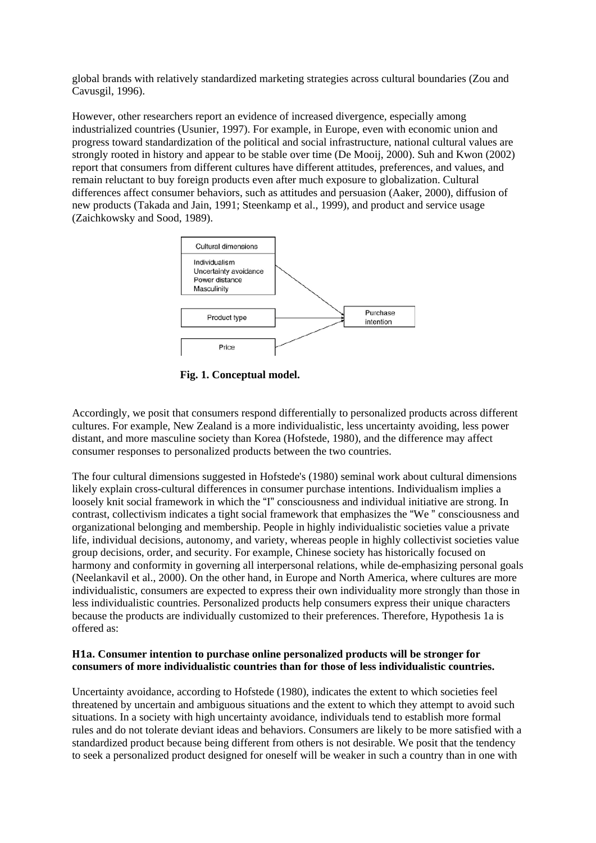global brands with relatively standardized marketing strategies across cultural boundaries (Zou and Cavusgil, 1996).

However, other researchers report an evidence of increased divergence, especially among industrialized countries (Usunier, 1997). For example, in Europe, even with economic union and progress toward standardization of the political and social infrastructure, national cultural values are strongly rooted in history and appear to be stable over time (De Mooij, 2000). Suh and Kwon (2002) report that consumers from different cultures have different attitudes, preferences, and values, and remain reluctant to buy foreign products even after much exposure to globalization. Cultural differences affect consumer behaviors, such as attitudes and persuasion (Aaker, 2000), diffusion of new products (Takada and Jain, 1991; Steenkamp et al., 1999), and product and service usage (Zaichkowsky and Sood, 1989).



**Fig. 1. Conceptual model.**

Accordingly, we posit that consumers respond differentially to personalized products across different cultures. For example, New Zealand is a more individualistic, less uncertainty avoiding, less power distant, and more masculine society than Korea (Hofstede, 1980), and the difference may affect consumer responses to personalized products between the two countries.

The four cultural dimensions suggested in Hofstede's (1980) seminal work about cultural dimensions likely explain cross-cultural differences in consumer purchase intentions. Individualism implies a loosely knit social framework in which the "I" consciousness and individual initiative are strong. In contrast, collectivism indicates a tight social framework that emphasizes the "We " consciousness and organizational belonging and membership. People in highly individualistic societies value a private life, individual decisions, autonomy, and variety, whereas people in highly collectivist societies value group decisions, order, and security. For example, Chinese society has historically focused on harmony and conformity in governing all interpersonal relations, while de-emphasizing personal goals (Neelankavil et al., 2000). On the other hand, in Europe and North America, where cultures are more individualistic, consumers are expected to express their own individuality more strongly than those in less individualistic countries. Personalized products help consumers express their unique characters because the products are individually customized to their preferences. Therefore, Hypothesis 1a is offered as:

#### **H1a. Consumer intention to purchase online personalized products will be stronger for consumers of more individualistic countries than for those of less individualistic countries.**

Uncertainty avoidance, according to Hofstede (1980), indicates the extent to which societies feel threatened by uncertain and ambiguous situations and the extent to which they attempt to avoid such situations. In a society with high uncertainty avoidance, individuals tend to establish more formal rules and do not tolerate deviant ideas and behaviors. Consumers are likely to be more satisfied with a standardized product because being different from others is not desirable. We posit that the tendency to seek a personalized product designed for oneself will be weaker in such a country than in one with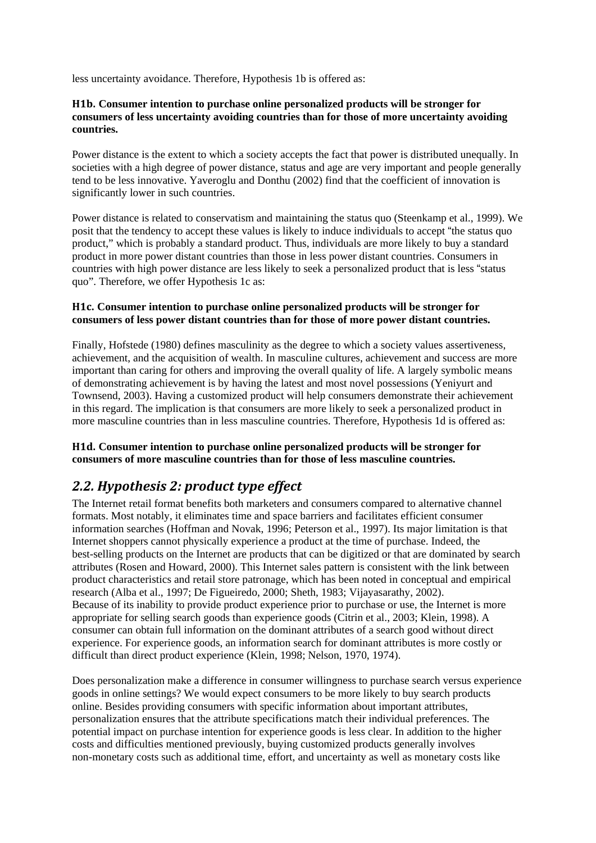less uncertainty avoidance. Therefore, Hypothesis 1b is offered as:

#### **H1b. Consumer intention to purchase online personalized products will be stronger for consumers of less uncertainty avoiding countries than for those of more uncertainty avoiding countries.**

Power distance is the extent to which a society accepts the fact that power is distributed unequally. In societies with a high degree of power distance, status and age are very important and people generally tend to be less innovative. Yaveroglu and Donthu (2002) find that the coefficient of innovation is significantly lower in such countries.

Power distance is related to conservatism and maintaining the status quo (Steenkamp et al., 1999). We posit that the tendency to accept these values is likely to induce individuals to accept "the status quo product," which is probably a standard product. Thus, individuals are more likely to buy a standard product in more power distant countries than those in less power distant countries. Consumers in countries with high power distance are less likely to seek a personalized product that is less "status quo". Therefore, we offer Hypothesis 1c as:

#### **H1c. Consumer intention to purchase online personalized products will be stronger for consumers of less power distant countries than for those of more power distant countries.**

Finally, Hofstede (1980) defines masculinity as the degree to which a society values assertiveness, achievement, and the acquisition of wealth. In masculine cultures, achievement and success are more important than caring for others and improving the overall quality of life. A largely symbolic means of demonstrating achievement is by having the latest and most novel possessions (Yeniyurt and Townsend, 2003). Having a customized product will help consumers demonstrate their achievement in this regard. The implication is that consumers are more likely to seek a personalized product in more masculine countries than in less masculine countries. Therefore, Hypothesis 1d is offered as:

#### **H1d. Consumer intention to purchase online personalized products will be stronger for consumers of more masculine countries than for those of less masculine countries.**

### *2.2. Hypothesis 2: product type effect*

The Internet retail format benefits both marketers and consumers compared to alternative channel formats. Most notably, it eliminates time and space barriers and facilitates efficient consumer information searches (Hoffman and Novak, 1996; Peterson et al., 1997). Its major limitation is that Internet shoppers cannot physically experience a product at the time of purchase. Indeed, the best-selling products on the Internet are products that can be digitized or that are dominated by search attributes (Rosen and Howard, 2000). This Internet sales pattern is consistent with the link between product characteristics and retail store patronage, which has been noted in conceptual and empirical research (Alba et al., 1997; De Figueiredo, 2000; Sheth, 1983; Vijayasarathy, 2002). Because of its inability to provide product experience prior to purchase or use, the Internet is more appropriate for selling search goods than experience goods (Citrin et al., 2003; Klein, 1998). A consumer can obtain full information on the dominant attributes of a search good without direct experience. For experience goods, an information search for dominant attributes is more costly or difficult than direct product experience (Klein, 1998; Nelson, 1970, 1974).

Does personalization make a difference in consumer willingness to purchase search versus experience goods in online settings? We would expect consumers to be more likely to buy search products online. Besides providing consumers with specific information about important attributes, personalization ensures that the attribute specifications match their individual preferences. The potential impact on purchase intention for experience goods is less clear. In addition to the higher costs and difficulties mentioned previously, buying customized products generally involves non-monetary costs such as additional time, effort, and uncertainty as well as monetary costs like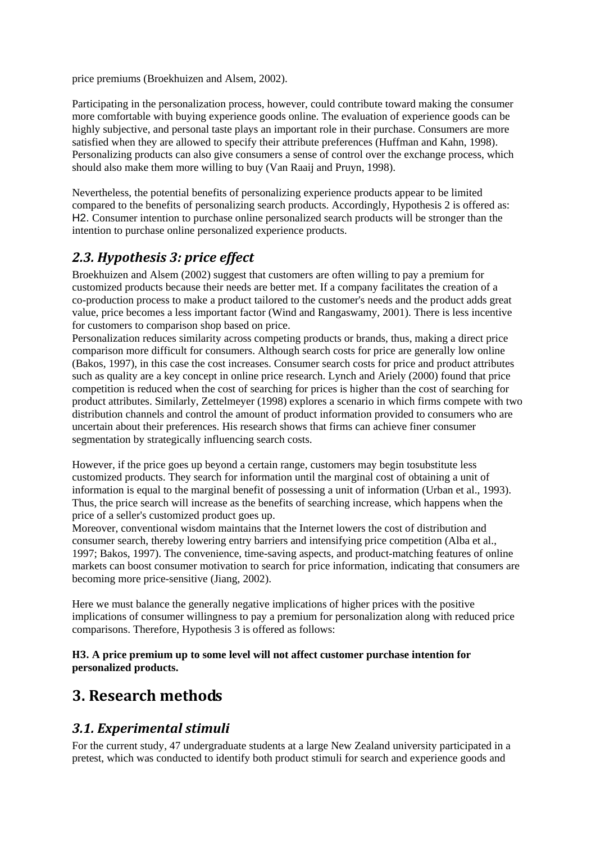price premiums (Broekhuizen and Alsem, 2002).

Participating in the personalization process, however, could contribute toward making the consumer more comfortable with buying experience goods online. The evaluation of experience goods can be highly subjective, and personal taste plays an important role in their purchase. Consumers are more satisfied when they are allowed to specify their attribute preferences (Huffman and Kahn, 1998). Personalizing products can also give consumers a sense of control over the exchange process, which should also make them more willing to buy (Van Raaij and Pruyn, 1998).

Nevertheless, the potential benefits of personalizing experience products appear to be limited compared to the benefits of personalizing search products. Accordingly, Hypothesis 2 is offered as: H2. Consumer intention to purchase online personalized search products will be stronger than the intention to purchase online personalized experience products.

### *2.3. Hypothesis 3: price effect*

Broekhuizen and Alsem (2002) suggest that customers are often willing to pay a premium for customized products because their needs are better met. If a company facilitates the creation of a co-production process to make a product tailored to the customer's needs and the product adds great value, price becomes a less important factor (Wind and Rangaswamy, 2001). There is less incentive for customers to comparison shop based on price.

Personalization reduces similarity across competing products or brands, thus, making a direct price comparison more difficult for consumers. Although search costs for price are generally low online (Bakos, 1997), in this case the cost increases. Consumer search costs for price and product attributes such as quality are a key concept in online price research. Lynch and Ariely (2000) found that price competition is reduced when the cost of searching for prices is higher than the cost of searching for product attributes. Similarly, Zettelmeyer (1998) explores a scenario in which firms compete with two distribution channels and control the amount of product information provided to consumers who are uncertain about their preferences. His research shows that firms can achieve finer consumer segmentation by strategically influencing search costs.

However, if the price goes up beyond a certain range, customers may begin tosubstitute less customized products. They search for information until the marginal cost of obtaining a unit of information is equal to the marginal benefit of possessing a unit of information (Urban et al., 1993). Thus, the price search will increase as the benefits of searching increase, which happens when the price of a seller's customized product goes up.

Moreover, conventional wisdom maintains that the Internet lowers the cost of distribution and consumer search, thereby lowering entry barriers and intensifying price competition (Alba et al., 1997; Bakos, 1997). The convenience, time-saving aspects, and product-matching features of online markets can boost consumer motivation to search for price information, indicating that consumers are becoming more price-sensitive (Jiang, 2002).

Here we must balance the generally negative implications of higher prices with the positive implications of consumer willingness to pay a premium for personalization along with reduced price comparisons. Therefore, Hypothesis 3 is offered as follows:

**H3. A price premium up to some level will not affect customer purchase intention for personalized products.**

# **3. Research methods**

### *3.1. Experimental stimuli*

For the current study, 47 undergraduate students at a large New Zealand university participated in a pretest, which was conducted to identify both product stimuli for search and experience goods and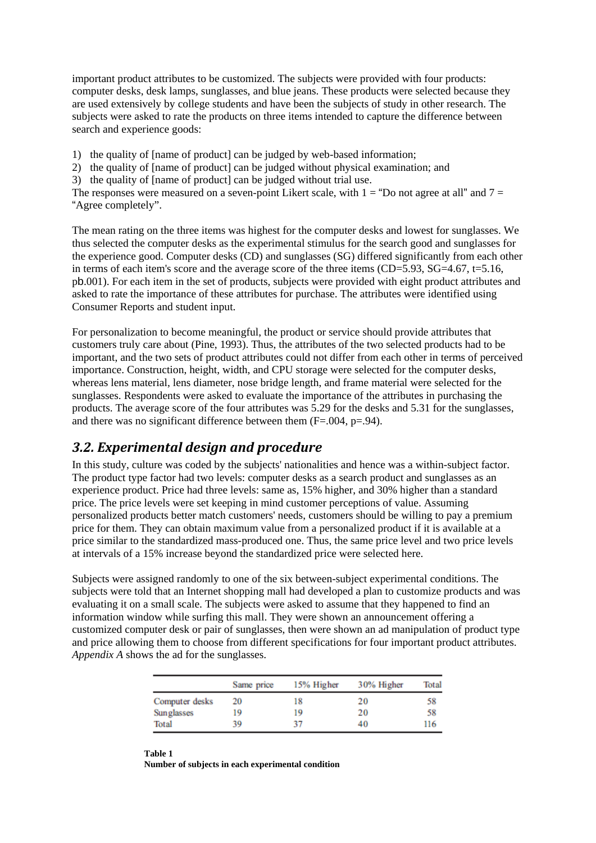important product attributes to be customized. The subjects were provided with four products: computer desks, desk lamps, sunglasses, and blue jeans. These products were selected because they are used extensively by college students and have been the subjects of study in other research. The subjects were asked to rate the products on three items intended to capture the difference between search and experience goods:

- 1) the quality of [name of product] can be judged by web-based information;
- 2) the quality of [name of product] can be judged without physical examination; and
- 3) the quality of [name of product] can be judged without trial use.

The responses were measured on a seven-point Likert scale, with  $1 =$  "Do not agree at all" and  $7 =$ "Agree completely".

The mean rating on the three items was highest for the computer desks and lowest for sunglasses. We thus selected the computer desks as the experimental stimulus for the search good and sunglasses for the experience good. Computer desks (CD) and sunglasses (SG) differed significantly from each other in terms of each item's score and the average score of the three items  $(CD=5.93, SG=4.67, t=5.16,$ pb.001). For each item in the set of products, subjects were provided with eight product attributes and asked to rate the importance of these attributes for purchase. The attributes were identified using Consumer Reports and student input.

For personalization to become meaningful, the product or service should provide attributes that customers truly care about (Pine, 1993). Thus, the attributes of the two selected products had to be important, and the two sets of product attributes could not differ from each other in terms of perceived importance. Construction, height, width, and CPU storage were selected for the computer desks, whereas lens material, lens diameter, nose bridge length, and frame material were selected for the sunglasses. Respondents were asked to evaluate the importance of the attributes in purchasing the products. The average score of the four attributes was 5.29 for the desks and 5.31 for the sunglasses, and there was no significant difference between them (F=.004, p=.94).

#### *3.2. Experimental design and procedure*

In this study, culture was coded by the subjects' nationalities and hence was a within-subject factor. The product type factor had two levels: computer desks as a search product and sunglasses as an experience product. Price had three levels: same as, 15% higher, and 30% higher than a standard price. The price levels were set keeping in mind customer perceptions of value. Assuming personalized products better match customers' needs, customers should be willing to pay a premium price for them. They can obtain maximum value from a personalized product if it is available at a price similar to the standardized mass-produced one. Thus, the same price level and two price levels at intervals of a 15% increase beyond the standardized price were selected here.

Subjects were assigned randomly to one of the six between-subject experimental conditions. The subjects were told that an Internet shopping mall had developed a plan to customize products and was evaluating it on a small scale. The subjects were asked to assume that they happened to find an information window while surfing this mall. They were shown an announcement offering a customized computer desk or pair of sunglasses, then were shown an ad manipulation of product type and price allowing them to choose from different specifications for four important product attributes. *Appendix A* shows the ad for the sunglasses.

|                | Same price | 15% Higher | 30% Higher | <b>Total</b> |
|----------------|------------|------------|------------|--------------|
| Computer desks | 20         | 18         | 20         | 58           |
| Sunglasses     | 19         | 19         | 20         | 58           |
| Total          | 39         | 37         | 40         | 116          |

**Table 1 Number of subjects in each experimental condition**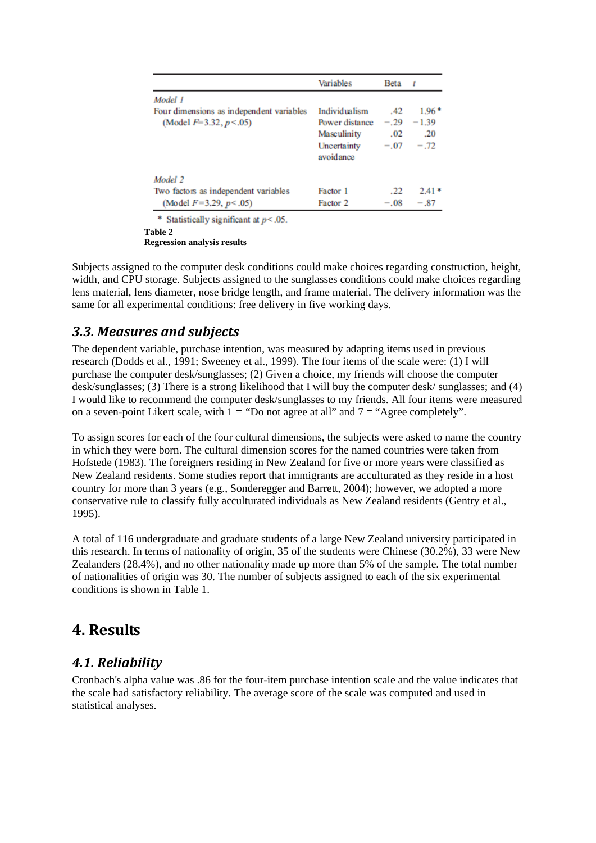|                                          | Variables                | Beta   | 1       |
|------------------------------------------|--------------------------|--------|---------|
| Model 1                                  |                          |        |         |
| Four dimensions as independent variables | Individualism            | .42    | $1.96*$ |
| (Model $F=3.32, p<0.05$ )                | Power distance           | $-.29$ | $-1.39$ |
|                                          | Masculinity              | .02    | .20     |
|                                          | Uncertainty<br>avoidance | $-.07$ | $-.72$  |
| Model 2                                  |                          |        |         |
| Two factors as independent variables     | Factor 1                 | .22    | $2.41*$ |
| (Model $F=3.29, p<.05$ )                 | Factor 2                 | $-.08$ | $-.87$  |

\* Statistically significant at  $p < .05$ .

**Table 2**

**Regression analysis results**

Subjects assigned to the computer desk conditions could make choices regarding construction, height, width, and CPU storage. Subjects assigned to the sunglasses conditions could make choices regarding lens material, lens diameter, nose bridge length, and frame material. The delivery information was the same for all experimental conditions: free delivery in five working days.

### *3.3. Measures and subjects*

The dependent variable, purchase intention, was measured by adapting items used in previous research (Dodds et al., 1991; Sweeney et al., 1999). The four items of the scale were: (1) I will purchase the computer desk/sunglasses; (2) Given a choice, my friends will choose the computer desk/sunglasses; (3) There is a strong likelihood that I will buy the computer desk/ sunglasses; and (4) I would like to recommend the computer desk/sunglasses to my friends. All four items were measured on a seven-point Likert scale, with  $1 =$  "Do not agree at all" and  $7 =$  "Agree completely".

To assign scores for each of the four cultural dimensions, the subjects were asked to name the country in which they were born. The cultural dimension scores for the named countries were taken from Hofstede (1983). The foreigners residing in New Zealand for five or more years were classified as New Zealand residents. Some studies report that immigrants are acculturated as they reside in a host country for more than 3 years (e.g., Sonderegger and Barrett, 2004); however, we adopted a more conservative rule to classify fully acculturated individuals as New Zealand residents (Gentry et al., 1995).

A total of 116 undergraduate and graduate students of a large New Zealand university participated in this research. In terms of nationality of origin, 35 of the students were Chinese (30.2%), 33 were New Zealanders (28.4%), and no other nationality made up more than 5% of the sample. The total number of nationalities of origin was 30. The number of subjects assigned to each of the six experimental conditions is shown in Table 1.

# **4. Results**

#### *4.1. Reliability*

Cronbach's alpha value was .86 for the four-item purchase intention scale and the value indicates that the scale had satisfactory reliability. The average score of the scale was computed and used in statistical analyses.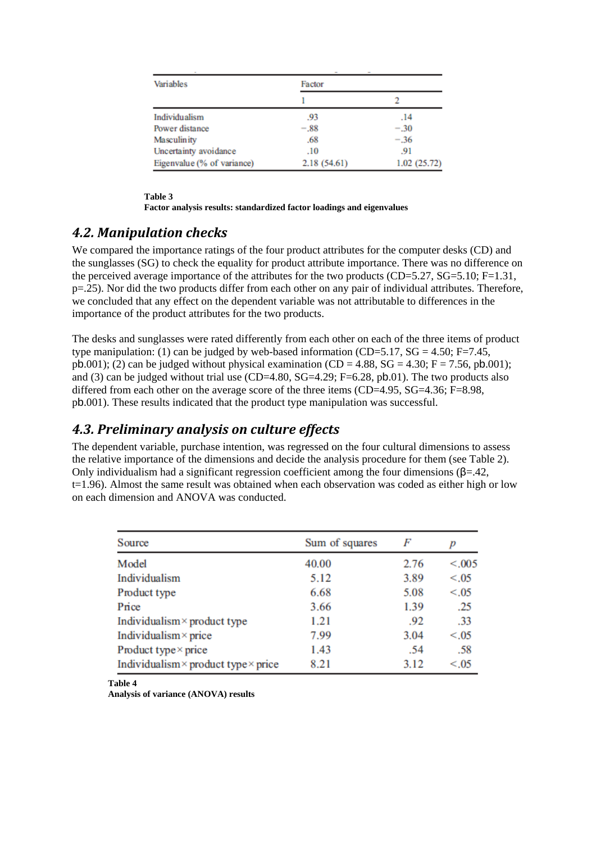| Variables                  | Factor      |             |  |
|----------------------------|-------------|-------------|--|
|                            |             |             |  |
| Individualism              | .93         | .14         |  |
| Power distance             | $-.88$      | $-.30$      |  |
| <b>Masculinity</b>         | .68         | $-.36$      |  |
| Uncertainty avoidance      | .10         | .91         |  |
| Eigenvalue (% of variance) | 2.18(54.61) | 1.02(25.72) |  |

**Table 3**

**Factor analysis results: standardized factor loadings and eigenvalues**

#### *4.2. Manipulation checks*

We compared the importance ratings of the four product attributes for the computer desks (CD) and the sunglasses (SG) to check the equality for product attribute importance. There was no difference on the perceived average importance of the attributes for the two products (CD=5.27, SG=5.10; F=1.31, p=.25). Nor did the two products differ from each other on any pair of individual attributes. Therefore, we concluded that any effect on the dependent variable was not attributable to differences in the importance of the product attributes for the two products.

The desks and sunglasses were rated differently from each other on each of the three items of product type manipulation: (1) can be judged by web-based information (CD=5.17, SG = 4.50; F=7.45, pb.001); (2) can be judged without physical examination (CD = 4.88, SG = 4.30; F = 7.56, pb.001); and (3) can be judged without trial use (CD=4.80, SG=4.29; F=6.28, pb.01). The two products also differed from each other on the average score of the three items (CD=4.95, SG=4.36; F=8.98, pb.001). These results indicated that the product type manipulation was successful.

#### *4.3. Preliminary analysis on culture effects*

The dependent variable, purchase intention, was regressed on the four cultural dimensions to assess the relative importance of the dimensions and decide the analysis procedure for them (see Table 2). Only individualism had a significant regression coefficient among the four dimensions (β=.42, t=1.96). Almost the same result was obtained when each observation was coded as either high or low on each dimension and ANOVA was conducted.

| Source                                             | Sum of squares | F    |        |  |
|----------------------------------------------------|----------------|------|--------|--|
| Model                                              | 40.00          | 2.76 | < .005 |  |
| Individualism                                      | 5.12           | 3.89 | < 0.05 |  |
| Product type                                       | 6.68           | 5.08 | < .05  |  |
| Price                                              | 3.66           | 1.39 | .25    |  |
| Individualism $\times$ product type                | 1.21           | .92  | .33    |  |
| Individualism $\times$ price                       | 7.99           | 3.04 | < 0.05 |  |
| Product type $\times$ price                        | 1.43           | .54  | .58    |  |
| Individualism $\times$ product type $\times$ price | 8.21           | 3.12 | < 0.05 |  |

**Table 4**

**Analysis of variance (ANOVA) results**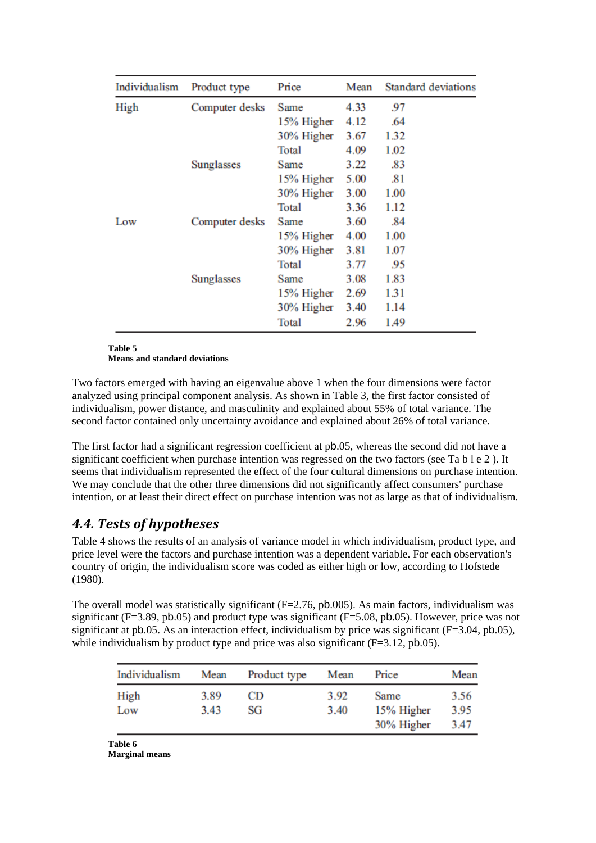| Individualism | Product type   | Price      | Mean | <b>Standard deviations</b> |
|---------------|----------------|------------|------|----------------------------|
| High          | Computer desks | Same       | 4.33 | 97                         |
|               |                | 15% Higher | 4.12 | .64                        |
|               |                | 30% Higher | 3.67 | 1.32                       |
|               |                | Total      | 4.09 | 1.02                       |
|               | Sunglasses     | Same       | 3.22 | .83                        |
|               |                | 15% Higher | 5.00 | .81                        |
|               |                | 30% Higher | 3.00 | 1.00                       |
|               |                | Total      | 3.36 | 1.12                       |
| Low           | Computer desks | Same       | 3.60 | .84                        |
|               |                | 15% Higher | 4.00 | 1.00                       |
|               |                | 30% Higher | 3.81 | 1.07                       |
|               |                | Total      | 3.77 | .95                        |
|               | Sunglasses     | Same       | 3.08 | 1.83                       |
|               |                | 15% Higher | 2.69 | 1.31                       |
|               |                | 30% Higher | 3.40 | 1.14                       |
|               |                | Total      | 2.96 | 1.49                       |

**Table 5**

**Means and standard deviations**

Two factors emerged with having an eigenvalue above 1 when the four dimensions were factor analyzed using principal component analysis. As shown in Table 3, the first factor consisted of individualism, power distance, and masculinity and explained about 55% of total variance. The second factor contained only uncertainty avoidance and explained about 26% of total variance.

The first factor had a significant regression coefficient at pb.05, whereas the second did not have a significant coefficient when purchase intention was regressed on the two factors (see Ta b l e 2 ). It seems that individualism represented the effect of the four cultural dimensions on purchase intention. We may conclude that the other three dimensions did not significantly affect consumers' purchase intention, or at least their direct effect on purchase intention was not as large as that of individualism.

# *4.4. Tests of hypotheses*

Table 4 shows the results of an analysis of variance model in which individualism, product type, and price level were the factors and purchase intention was a dependent variable. For each observation's country of origin, the individualism score was coded as either high or low, according to Hofstede (1980).

The overall model was statistically significant  $(F=2.76, pb.005)$ . As main factors, individualism was significant (F=3.89, pb.05) and product type was significant (F=5.08, pb.05). However, price was not significant at pb.05. As an interaction effect, individualism by price was significant ( $F=3.04$ , pb.05), while individualism by product type and price was also significant (F=3.12, pb.05).

| Individualism | Mean         | Product type | Mean         | Price                            | Mean                 |
|---------------|--------------|--------------|--------------|----------------------------------|----------------------|
| High<br>Low   | 3.89<br>3.43 | CD<br>SG     | 3.92<br>3.40 | Same<br>15% Higher<br>30% Higher | 3.56<br>3.95<br>3.47 |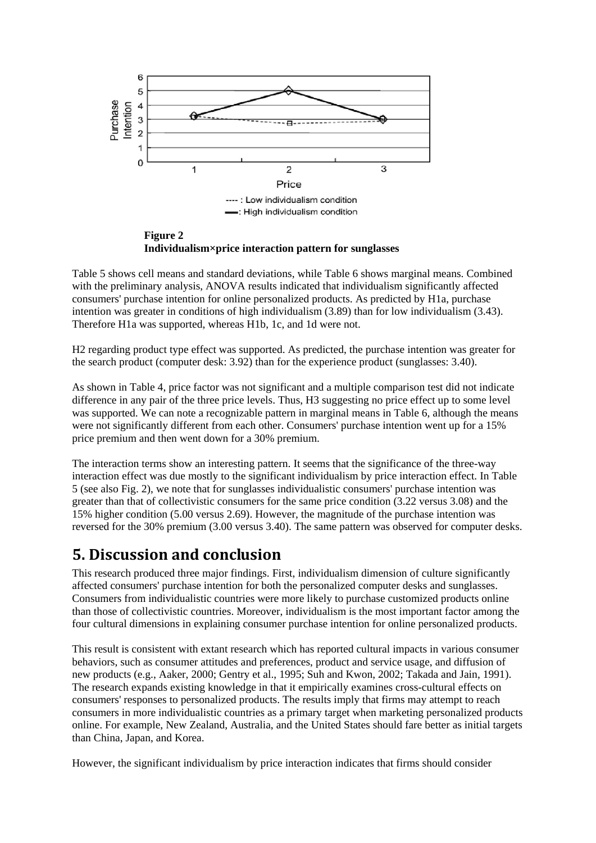

**Figure 2 Individualism×price interaction pattern for sunglasses**

Table 5 shows cell means and standard deviations, while Table 6 shows marginal means. Combined with the preliminary analysis, ANOVA results indicated that individualism significantly affected consumers' purchase intention for online personalized products. As predicted by H1a, purchase intention was greater in conditions of high individualism (3.89) than for low individualism (3.43). Therefore H1a was supported, whereas H1b, 1c, and 1d were not.

H2 regarding product type effect was supported. As predicted, the purchase intention was greater for the search product (computer desk: 3.92) than for the experience product (sunglasses: 3.40).

As shown in Table 4, price factor was not significant and a multiple comparison test did not indicate difference in any pair of the three price levels. Thus, H3 suggesting no price effect up to some level was supported. We can note a recognizable pattern in marginal means in Table 6, although the means were not significantly different from each other. Consumers' purchase intention went up for a 15% price premium and then went down for a 30% premium.

The interaction terms show an interesting pattern. It seems that the significance of the three-way interaction effect was due mostly to the significant individualism by price interaction effect. In Table 5 (see also Fig. 2), we note that for sunglasses individualistic consumers' purchase intention was greater than that of collectivistic consumers for the same price condition (3.22 versus 3.08) and the 15% higher condition (5.00 versus 2.69). However, the magnitude of the purchase intention was reversed for the 30% premium (3.00 versus 3.40). The same pattern was observed for computer desks.

# **5. Discussion and conclusion**

This research produced three major findings. First, individualism dimension of culture significantly affected consumers' purchase intention for both the personalized computer desks and sunglasses. Consumers from individualistic countries were more likely to purchase customized products online than those of collectivistic countries. Moreover, individualism is the most important factor among the four cultural dimensions in explaining consumer purchase intention for online personalized products.

This result is consistent with extant research which has reported cultural impacts in various consumer behaviors, such as consumer attitudes and preferences, product and service usage, and diffusion of new products (e.g., Aaker, 2000; Gentry et al., 1995; Suh and Kwon, 2002; Takada and Jain, 1991). The research expands existing knowledge in that it empirically examines cross-cultural effects on consumers' responses to personalized products. The results imply that firms may attempt to reach consumers in more individualistic countries as a primary target when marketing personalized products online. For example, New Zealand, Australia, and the United States should fare better as initial targets than China, Japan, and Korea.

However, the significant individualism by price interaction indicates that firms should consider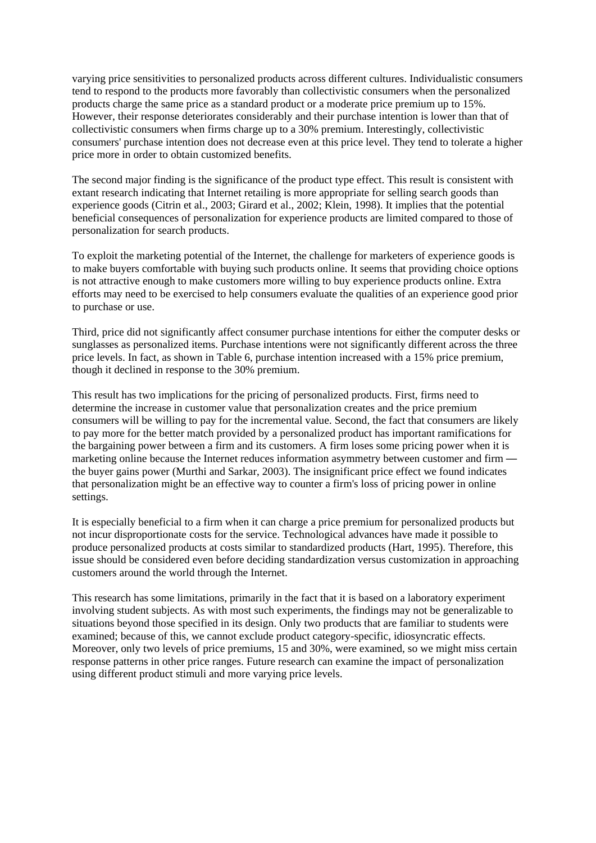varying price sensitivities to personalized products across different cultures. Individualistic consumers tend to respond to the products more favorably than collectivistic consumers when the personalized products charge the same price as a standard product or a moderate price premium up to 15%. However, their response deteriorates considerably and their purchase intention is lower than that of collectivistic consumers when firms charge up to a 30% premium. Interestingly, collectivistic consumers' purchase intention does not decrease even at this price level. They tend to tolerate a higher price more in order to obtain customized benefits.

The second major finding is the significance of the product type effect. This result is consistent with extant research indicating that Internet retailing is more appropriate for selling search goods than experience goods (Citrin et al., 2003; Girard et al., 2002; Klein, 1998). It implies that the potential beneficial consequences of personalization for experience products are limited compared to those of personalization for search products.

To exploit the marketing potential of the Internet, the challenge for marketers of experience goods is to make buyers comfortable with buying such products online. It seems that providing choice options is not attractive enough to make customers more willing to buy experience products online. Extra efforts may need to be exercised to help consumers evaluate the qualities of an experience good prior to purchase or use.

Third, price did not significantly affect consumer purchase intentions for either the computer desks or sunglasses as personalized items. Purchase intentions were not significantly different across the three price levels. In fact, as shown in Table 6, purchase intention increased with a 15% price premium, though it declined in response to the 30% premium.

This result has two implications for the pricing of personalized products. First, firms need to determine the increase in customer value that personalization creates and the price premium consumers will be willing to pay for the incremental value. Second, the fact that consumers are likely to pay more for the better match provided by a personalized product has important ramifications for the bargaining power between a firm and its customers. A firm loses some pricing power when it is marketing online because the Internet reduces information asymmetry between customer and firm the buyer gains power (Murthi and Sarkar, 2003). The insignificant price effect we found indicates that personalization might be an effective way to counter a firm's loss of pricing power in online settings.

It is especially beneficial to a firm when it can charge a price premium for personalized products but not incur disproportionate costs for the service. Technological advances have made it possible to produce personalized products at costs similar to standardized products (Hart, 1995). Therefore, this issue should be considered even before deciding standardization versus customization in approaching customers around the world through the Internet.

This research has some limitations, primarily in the fact that it is based on a laboratory experiment involving student subjects. As with most such experiments, the findings may not be generalizable to situations beyond those specified in its design. Only two products that are familiar to students were examined; because of this, we cannot exclude product category-specific, idiosyncratic effects. Moreover, only two levels of price premiums, 15 and 30%, were examined, so we might miss certain response patterns in other price ranges. Future research can examine the impact of personalization using different product stimuli and more varying price levels.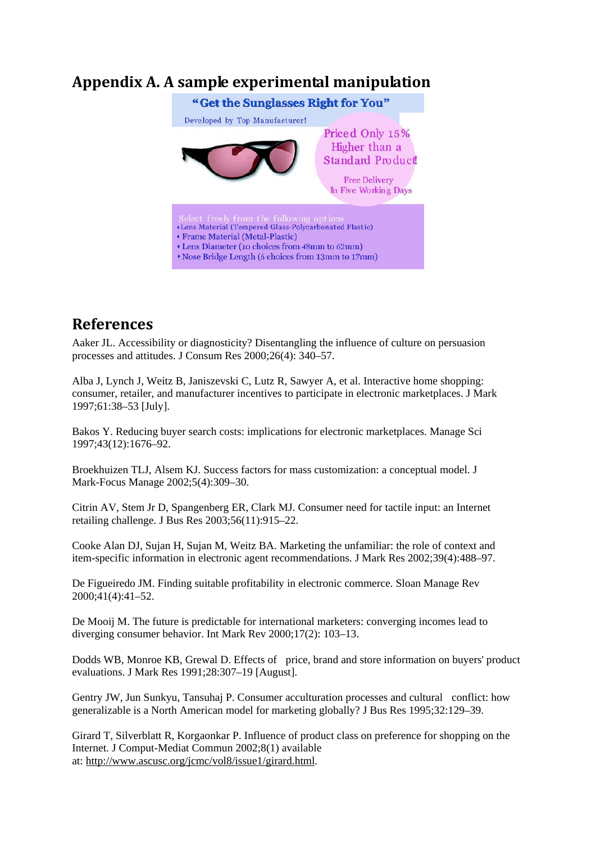# **Appendix A. A sample experimental manipulation**



# **References**

Aaker JL. Accessibility or diagnosticity? Disentangling the influence of culture on persuasion processes and attitudes. J Consum Res 2000;26(4): 340–57.

Alba J, Lynch J, Weitz B, Janiszevski C, Lutz R, Sawyer A, et al. Interactive home shopping: consumer, retailer, and manufacturer incentives to participate in electronic marketplaces. J Mark 1997;61:38–53 [July].

Bakos Y. Reducing buyer search costs: implications for electronic marketplaces. Manage Sci 1997;43(12):1676–92.

Broekhuizen TLJ, Alsem KJ. Success factors for mass customization: a conceptual model. J Mark-Focus Manage 2002;5(4):309–30.

Citrin AV, Stem Jr D, Spangenberg ER, Clark MJ. Consumer need for tactile input: an Internet retailing challenge. J Bus Res 2003;56(11):915–22.

Cooke Alan DJ, Sujan H, Sujan M, Weitz BA. Marketing the unfamiliar: the role of context and item-specific information in electronic agent recommendations. J Mark Res 2002;39(4):488–97.

De Figueiredo JM. Finding suitable profitability in electronic commerce. Sloan Manage Rev 2000;41(4):41–52.

De Mooij M. The future is predictable for international marketers: converging incomes lead to diverging consumer behavior. Int Mark Rev 2000;17(2): 103–13.

Dodds WB, Monroe KB, Grewal D. Effects of price, brand and store information on buyers' product evaluations. J Mark Res 1991;28:307–19 [August].

Gentry JW, Jun Sunkyu, Tansuhaj P. Consumer acculturation processes and cultural conflict: how generalizable is a North American model for marketing globally? J Bus Res 1995;32:129–39.

Girard T, Silverblatt R, Korgaonkar P. Influence of product class on preference for shopping on the Internet. J Comput-Mediat Commun 2002;8(1) available at: [http://www.ascusc.org/jcmc/vol8/issue1/girard.html.](http://www.ascusc.org/jcmc/vol8/issue1/girard.html)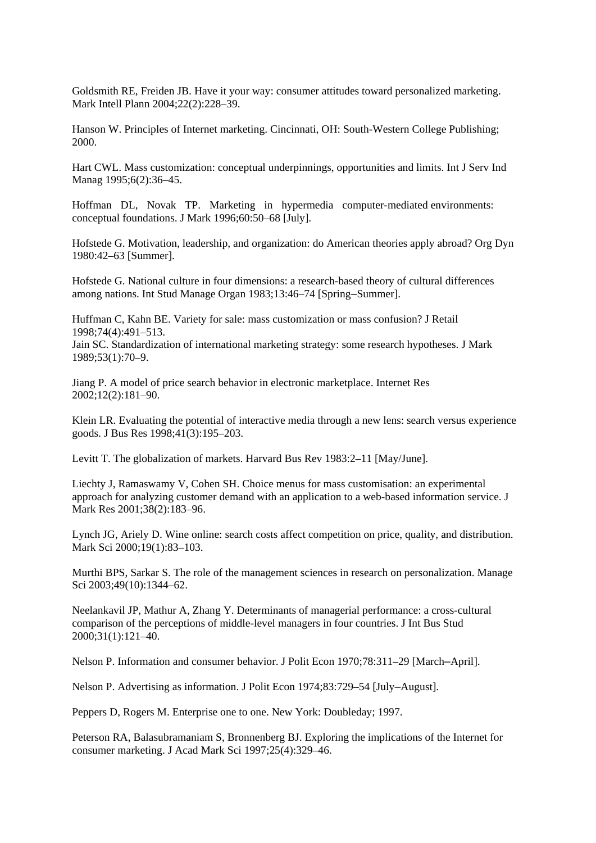Goldsmith RE, Freiden JB. Have it your way: consumer attitudes toward personalized marketing. Mark Intell Plann 2004;22(2):228–39.

Hanson W. Principles of Internet marketing. Cincinnati, OH: South-Western College Publishing; 2000.

Hart CWL. Mass customization: conceptual underpinnings, opportunities and limits. Int J Serv Ind Manag 1995;6(2):36–45.

Hoffman DL, Novak TP. Marketing in hypermedia computer-mediated environments: conceptual foundations. J Mark 1996;60:50–68 [July].

Hofstede G. Motivation, leadership, and organization: do American theories apply abroad? Org Dyn 1980:42–63 [Summer].

Hofstede G. National culture in four dimensions: a research-based theory of cultural differences among nations. Int Stud Manage Organ 1983;13:46–74 [Spring–Summer].

Huffman C, Kahn BE. Variety for sale: mass customization or mass confusion? J Retail 1998;74(4):491–513. Jain SC. Standardization of international marketing strategy: some research hypotheses. J Mark

1989;53(1):70–9.

Jiang P. A model of price search behavior in electronic marketplace. Internet Res 2002;12(2):181–90.

Klein LR. Evaluating the potential of interactive media through a new lens: search versus experience goods. J Bus Res 1998;41(3):195–203.

Levitt T. The globalization of markets. Harvard Bus Rev 1983:2–11 [May/June].

Liechty J, Ramaswamy V, Cohen SH. Choice menus for mass customisation: an experimental approach for analyzing customer demand with an application to a web-based information service. J Mark Res 2001;38(2):183–96.

Lynch JG, Ariely D. Wine online: search costs affect competition on price, quality, and distribution. Mark Sci 2000;19(1):83–103.

Murthi BPS, Sarkar S. The role of the management sciences in research on personalization. Manage Sci 2003;49(10):1344-62.

Neelankavil JP, Mathur A, Zhang Y. Determinants of managerial performance: a cross-cultural comparison of the perceptions of middle-level managers in four countries. J Int Bus Stud 2000;31(1):121–40.

Nelson P. Information and consumer behavior. J Polit Econ 1970;78:311–29 [March–April].

Nelson P. Advertising as information. J Polit Econ 1974;83:729–54 [July–August].

Peppers D, Rogers M. Enterprise one to one. New York: Doubleday; 1997.

Peterson RA, Balasubramaniam S, Bronnenberg BJ. Exploring the implications of the Internet for consumer marketing. J Acad Mark Sci 1997;25(4):329–46.